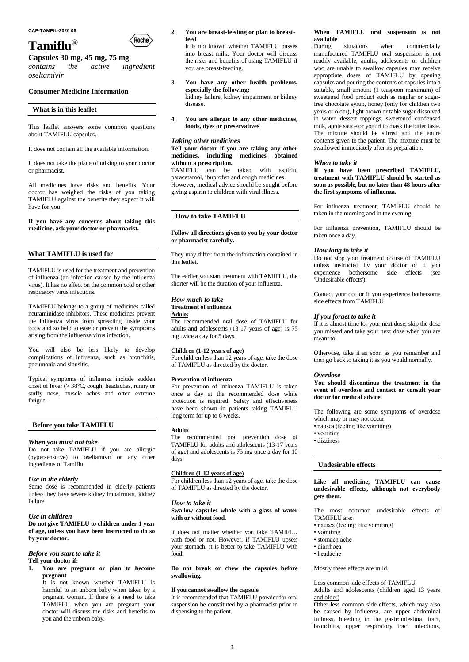

# **Capsules 30 mg, 45 mg, 75 mg**

*contains the active ingredient oseltamivir*

# **Consumer Medicine Information**

### **What is in this leaflet**

This leaflet answers some common questions about TAMIFLU capsules.

It does not contain all the available information.

It does not take the place of talking to your doctor or pharmacist.

All medicines have risks and benefits. Your doctor has weighed the risks of you taking TAMIFLU against the benefits they expect it will have for you.

**If you have any concerns about taking this medicine, ask your doctor or pharmacist.**

# **What TAMIFLU is used for**

TAMIFLU is used for the treatment and prevention of influenza (an infection caused by the influenza virus). It has no effect on the common cold or other respiratory virus infections.

TAMIFLU belongs to a group of medicines called neuraminidase inhibitors. These medicines prevent the influenza virus from spreading inside your body and so help to ease or prevent the symptoms arising from the influenza virus infection.

You will also be less likely to develop complications of influenza, such as bronchitis, pneumonia and sinusitis.

Typical symptoms of influenza include sudden onset of fever  $(>38^{\circ}C,$  cough, headaches, runny or stuffy nose, muscle aches and often extreme fatigue.

# **Before you take TAMIFLU**

### *When you must not take*

Do not take TAMIFLU if you are allergic (hypersensitive) to oseltamivir or any other ingredients of Tamiflu.

### *Use in the elderly*

Same dose is recommended in elderly patients unless they have severe kidney impairment, kidney failure.

## *Use in children*

**Do not give TAMIFLU to children under 1 year of age, unless you have been instructed to do so by your doctor.**

# *Before you start to take it* **Tell your doctor if:**

**1. You are pregnant or plan to become pregnant**

It is not known whether TAMIFLU is harmful to an unborn baby when taken by a pregnant woman. If there is a need to take TAMIFLU when you are pregnant your doctor will discuss the risks and benefits to you and the unborn baby.

#### **2. You are breast-feeding or plan to breastfeed**

It is not known whether TAMIFLU passes into breast milk. Your doctor will discuss the risks and benefits of using TAMIFLU if you are breast-feeding.

- **3. You have any other health problems, especially the following:** kidney failure, kidney impairment or kidney disease.
- **4. You are allergic to any other medicines, foods, dyes or preservatives**

# *Taking other medicines*

**Tell your doctor if you are taking any other medicines, including medicines obtained without a prescription.**

TAMIFLU can be taken with aspirin, paracetamol, ibuprofen and cough medicines. However, medical advice should be sought before giving aspirin to children with viral illness.

# **How to take TAMIFLU**

#### **Follow all directions given to you by your doctor or pharmacist carefully.**

They may differ from the information contained in this leaflet.

The earlier you start treatment with TAMIFLU, the shorter will be the duration of your influenza.

## *How much to take* **Treatment of influenza Adults**

The recommended oral dose of TAMIFLU for adults and adolescents (13-17 years of age) is 75 mg twice a day for 5 days.

## **Children (1-12 years of age)**

For children less than 12 years of age, take the dose of TAMIFLU as directed by the doctor.

### **Prevention of influenza**

For prevention of influenza TAMIFLU is taken once a day at the recommended dose while protection is required. Safety and effectiveness have been shown in patients taking TAMIFLU long term for up to 6 weeks.

#### **Adults**

The recommended oral prevention dose of TAMIFLU for adults and adolescents (13-17 years of age) and adolescents is 75 mg once a day for 10 days.

## **Children (1-12 years of age)**

For children less than 12 years of age, take the dose of TAMIFLU as directed by the doctor.

## *How to take it*

# **Swallow capsules whole with a glass of water with or without food.**

It does not matter whether you take TAMIFLU with food or not. However, if TAMIFLU upsets your stomach, it is better to take TAMIFLU with food.

# **Do not break or chew the capsules before swallowing.**

# **If you cannot swallow the capsule**

It is recommended that TAMIFLU powder for oral suspension be constituted by a pharmacist prior to dispensing to the patient.

# **When TAMIFLU oral suspension is not available**

situations when commercially manufactured TAMIFLU oral suspension is not readily available, adults, adolescents or children who are unable to swallow capsules may receive appropriate doses of TAMIFLU by opening capsules and pouring the contents of capsules into a suitable, small amount (1 teaspoon maximum) of sweetened food product such as regular or sugarfree chocolate syrup, honey (only for children two years or older), light brown or table sugar dissolved in water, dessert toppings, sweetened condensed milk, apple sauce or yogurt to mask the bitter taste. The mixture should be stirred and the entire contents given to the patient. The mixture must be swallowed immediately after its preparation.

# *When to take it*

**If you have been prescribed TAMIFLU, treatment with TAMIFLU should be started as soon as possible, but no later than 48 hours after the first symptoms of influenza.**

For influenza treatment, TAMIFLU should be taken in the morning and in the evening.

For influenza prevention, TAMIFLU should be taken once a day.

#### *How long to take it*

Do not stop your treatment course of TAMIFLU unless instructed by your doctor or if you experience bothersome side effects (see 'Undesirable effects').

Contact your doctor if you experience bothersome side effects from TAMIFLU

#### *If you forget to take it*

If it is almost time for your next dose, skip the dose you missed and take your next dose when you are meant to.

Otherwise, take it as soon as you remember and then go back to taking it as you would normally.

## *Overdose*

**You should discontinue the treatment in the event of overdose and contact or consult your doctor for medical advice.**

The following are some symptoms of overdose which may or may not occur:

- nausea (feeling like vomiting)
- vomiting
- dizziness

#### **Undesirable effects**

**Like all medicine, TAMIFLU can cause undesirable effects, although not everybody gets them.**

The most common undesirable effects of TAMIFLU are:

- nausea (feeling like vomiting)
- vomiting
- stomach ache
- diarrhoea
- headache

Mostly these effects are mild.

#### Less common side effects of TAMIFLU

Adults and adolescents (children aged 13 years and older)

Other less common side effects, which may also be caused by influenza, are upper abdominal fullness, bleeding in the gastrointestinal tract, bronchitis, upper respiratory tract infections,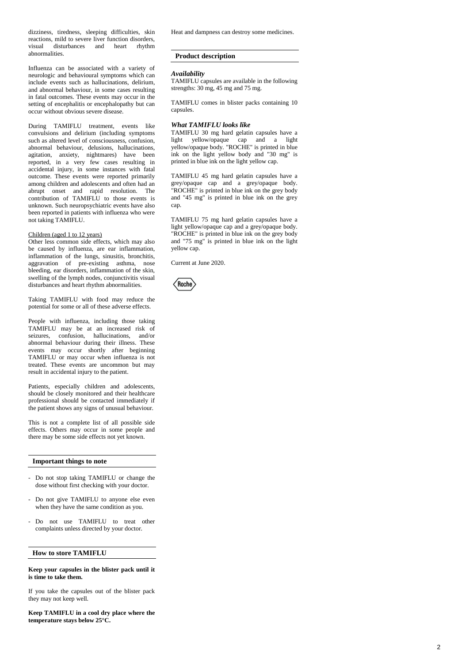dizziness, tiredness, sleeping difficulties, skin reactions, mild to severe liver function disorders, visual disturbances and heart rhythm abnormalities.

Influenza can be associated with a variety of neurologic and behavioural symptoms which can include events such as hallucinations, delirium, and abnormal behaviour, in some cases resulting in fatal outcomes. These events may occur in the setting of encephalitis or encephalopathy but can occur without obvious severe disease.

During TAMIFLU treatment, events like convulsions and delirium (including symptoms such as altered level of consciousness, confusion, abnormal behaviour, delusions, hallucinations, agitation, anxiety, nightmares) have been reported, in a very few cases resulting in accidental injury, in some instances with fatal outcome. These events were reported primarily among children and adolescents and often had an abrupt onset and rapid resolution. The contribution of TAMIFLU to those events is unknown. Such neuropsychiatric events have also been reported in patients with influenza who were not taking TAMIFLU.

### Children (aged 1 to 12 years)

Other less common side effects, which may also be caused by influenza, are ear inflammation, inflammation of the lungs, sinusitis, bronchitis, aggravation of pre-existing asthma, nose bleeding, ear disorders, inflammation of the skin, swelling of the lymph nodes, conjunctivitis visual disturbances and heart rhythm abnormalities.

Taking TAMIFLU with food may reduce the potential for some or all of these adverse effects.

People with influenza, including those taking TAMIFLU may be at an increased risk of seizures, confusion, hallucinations, and/or abnormal behaviour during their illness. These events may occur shortly after beginning TAMIFLU or may occur when influenza is not treated. These events are uncommon but may result in accidental injury to the patient.

Patients, especially children and adolescents, should be closely monitored and their healthcare professional should be contacted immediately if the patient shows any signs of unusual behaviour.

This is not a complete list of all possible side effects. Others may occur in some people and there may be some side effects not yet known.

# **Important things to note**

- Do not stop taking TAMIFLU or change the dose without first checking with your doctor.
- Do not give TAMIFLU to anyone else even when they have the same condition as you.
- Do not use TAMIFLU to treat other complaints unless directed by your doctor.

## **How to store TAMIFLU**

# **Keep your capsules in the blister pack until it is time to take them.**

If you take the capsules out of the blister pack they may not keep well.

**Keep TAMIFLU in a cool dry place where the temperature stays below 25°C.**

Heat and dampness can destroy some medicines.

# **Product description**

## *Availability*

TAMIFLU capsules are available in the following strengths: 30 mg, 45 mg and 75 mg.

TAMIFLU comes in blister packs containing 10 capsules.

## *What TAMIFLU looks like*

TAMIFLU 30 mg hard gelatin capsules have a light yellow/opaque cap and a light yellow/opaque body. "ROCHE" is printed in blue ink on the light yellow body and "30 mg" is printed in blue ink on the light yellow cap.

TAMIFLU 45 mg hard gelatin capsules have a grey/opaque cap and a grey/opaque body. "ROCHE" is printed in blue ink on the grey body and "45 mg" is printed in blue ink on the grey cap.

TAMIFLU 75 mg hard gelatin capsules have a light yellow/opaque cap and a grey/opaque body. "ROCHE" is printed in blue ink on the grey body and "75 mg" is printed in blue ink on the light yellow cap.

Current at June 2020.

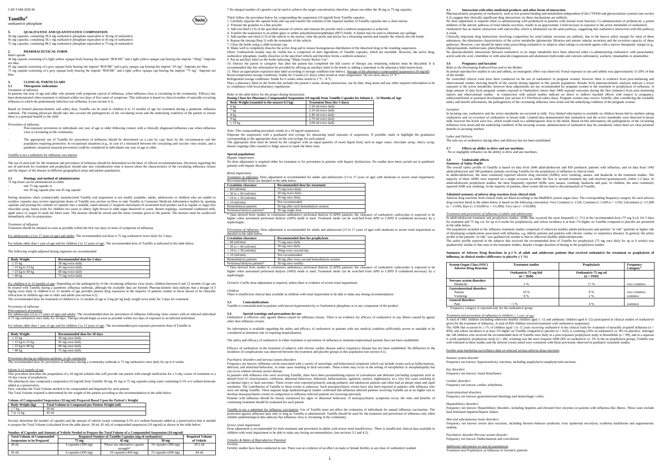1

#### CAP-TAM-2020 06

#### **Tamiflu®** oseltamivir phosphate

# **1. QUALITATIVE AND QUANTITATIVE COMPOSITION**

30 mg capsules, containing 39.4 mg oseltamivir phosphate equivalent to 30 mg of oseltamivir. 45 mg capsules, containing 59.1 mg oseltamivir phosphate equivalent to 45 mg of oseltamivir. 75 mg capsules, containing 98.5 mg oseltamivir phosphate equivalent to 75 mg of oseltamivir.

#### **2. PHARMACEUTICAL FORM** Hard capsule

45 mg capsule consisting of a grey opaque body bearing the imprint "ROCHE" and a grey opaque cap bearing the imprint "45 mg". Imprints are blue.<br>75 mg capsule consisting of a grey opaque body bearing the imprint "ROCHE" an blue.

#### **3.12 Therapeutic indications** *Treatment of influenza*

In patients one year of age and older who present with symptoms typical of influenza, when influenza virus is circulating in the community. Efficacy has been demonstrated when treatment is initiated within two days of first onset of symptoms. This indication is based on clinical studies of naturally occurring influenza in which the predominant infection was influenza A (see section 4.1).

30 mg capsule consisting of a light yellow opaque body bearing the imprint "ROCHE" and a light yellow opaque cap bearing the imprint "30mg". Imprints are blue.

#### **3. CLINICAL PARTICULARS**

#### **Posology and method of administration** 75 mg doses can be administered as either

- one 75 mg capsule or
- one 30 mg capsule plus one 45 mg capsule

During situations when commercially manufactured Tamiflu oral suspension is not readily available, adults, adolescents or children who are unable to swallow capsules may receive appropriate doses of Tamiflu (see section on How to take Tamiflu in Consumer Medicine Information leaflet) by opening<br>capsules and pouring the contents of capsules into a suitable, small amount chocolate syrup, honey (only for children two years or older), light brown or table sugar dissolved in water, dessert toppings, sweetened condensed milk, apple sauce or yogurt to mask the bitter taste. The mixture should be stirred and the entire contents given to the patient. The mixture must be swallowed in sensor in  $\frac{1}{2}$  or  $\frac{1}{2}$  or  $\frac{1}{2}$  or  $\frac{1}{2}$  or  $\frac{1}{2}$  or  $\frac{1}{2}$  or  $\frac{1}{2}$  or  $\frac{1}{2}$  or  $\frac{1}{2}$  or  $\frac{1}{2}$  or  $\frac{1}{2}$  or  $\frac{1}{2}$  or  $\frac{1}{2}$  or  $\frac{1}{2}$  or  $\frac{1}{2}$  or  $\frac{1}{2}$  or

Based on limited pharmacokinetic and safety data, Tamiflu can be used in children 6 to 12 months of age for treatment during a pandemic influenza outbreak. The treating physician should take into account the pathogenicity of the circulating strain and the underlying condition of the patient to ensure there is a potential benefit to the child

#### *Prevention of influenza*

- Post-exposure prevention in individuals one year of age or older following contact with a clinically diagnosed influenza case when influenza virus is circulating in the community.
- The appropriate use of Tamiflu for prevention of influenza should be determined on a case by case basis by the circumstances and the population requiring protection. In exceptional situations (e.g., in case of a mismatch between the circulating and vaccine virus strains, and a pandemic situation) seasonal prevention could be considered in individuals one year of age or older.

#### Tamiflu is not a substitute for influenza vaccination.

The use of antivirals for the treatment and prevention of influenza should be determined on the basis of official recommendations. Decisions regarding the use of antivirals for treatment and prophylaxis should take into consideration what is known about the characteristics of the circulating influenza viruses and the impact of the disease in different geographical areas and patient populations.

The pharmacist may compound a suspension (10 mg/ml) from Tamiflu 30 mg, 45 mg or 75 mg capsules using water containing 0.1% w/v sodium benzoate added as a preservativ

Second, determine the number of capsules and the amount of vehicle (water containing 0.1% w/v sodium benzoate added as a preservative) that is needed to prepare the Total Volume (calculated from the table above: 30 ml, 45 ml) of compounded suspension (10 mg/ml) as shown in the table belo

#### *Treatment of influenza*

Treatment should be initiated as soon as possible within the first two days of onset of symptoms of influenza.

For adolescents (13 to 17 years of age) and adults: The recommended oral dose is 75 mg oseltamivir twice daily for 5 days.

older than 1 year of age and for children 2 to 12 years of age: The recommended dose of Tamiflu is indicated in the table below.

#### The following weight-adjusted dosing regimens are recommended

| <b>Body Weight</b> | Recommended dose for 5 days |  |
|--------------------|-----------------------------|--|
| $\leq$ 15 kg       | 30 mg twice daily           |  |
| $> 15$ kg to 23 kg | 45 mg twice daily           |  |
| $>$ 23 kg to 40 kg | 60 mg twice daily           |  |
| > 40 kg            | 75 mg twice daily           |  |

For children 6 to 12 months of age: Depending on the pathogenicity of the circulating influenza virus strain, children between 6 and 12 months of age can be treated with Tamiflu during a pandemic influenza outbreak, although the available data are limited. Pharmacokinetic data indicate that a dosage of 3 mg/kg twice daily in children 6 to 12 months of age provides plasma drug exposures in the majority of patients similar to those shown to be clinically efficacious in children age one or older and adults (see section 4.2).

The recommended dose for treatment of children 6 to 12 months of age is 3 mg per kg body weight twice daily for 5 days for treatment.

8. Shake well to completely dissolve the active drug and to ensure homogeneous distribution of the dissolved drug in the resulting suspension. (Note: Undissolved residue may be visible but is comprised of inert ingredients of Tamiflu capsules, which are insoluble. However, the active drug, oseltamivir phosphate, readily dissolves in the specified vehicle and therefore forms a uniform solution.) 9. Put an ancillary label on the bottle indicating "Shake Gently Before Use".

10. Instruct the parent or caregiver that after the patient has completed the full course of therapy any remaining solution must be discarded. It is<br>recommended that this information be provided by affixing an ancillary la

11. Place an appropriate expiration date label according to storage condition (see below). <u>Storage of the pharmacy-compounded suspension (10 mg/ml)</u><br>Room temperature storage conditions: Stable for 3 weeks (21 days) when s

Refrigerated storage conditions: Stable for 6 weeks when stored at  $2^{\circ}C - 8^{\circ}C$ . Place a pharmacy label on the bottle that includes the patient's name, dosing instructions, use by date, drug name and any other required information to be

#### *Prevention of influenza Post-exposure prevention*

For adolescents (13 to 17 years of age) and adults: The recommended dose for prevention of influenza following close contact with an infected individual<br>is 75 mg oseltamivir once daily for 10 days. Therapy should begin as

*Renal impairment Treatment of influenza*: Dose adjustment is recommended for adults and adolescents (13 to 17 years of age) with moderate or severe renal impairment. Recommended doses are detailed in the table below.

For infants older than 1 year of age and for children 2 to 12 years of age: The recommended post-exposure prevention dose of Tamiflu is:

| <b>Body Weight</b> | Recommended dose for 10 days |  |
|--------------------|------------------------------|--|
| $\leq$ 15 kg       | 30 mg once daily             |  |
| $>$ 15 kg to 23 kg | 45 mg once daily             |  |
| $>$ 23 kg to 40 kg | 60 mg once daily             |  |
| $>40$ kg           | 75 mg once daily             |  |

#### *Prevention during an influenza epidemic in the community*

The recommended dose for prevention of influenza during a community outbreak is 75 mg oseltamivir once daily for up to 6 weeks.

# *Infants 6-12 months of age*

This procedure describes the preparation of a 10 mg/ml solution that will provide one patient with enough medication for a 5-day course of treatment or a 10-day course of prophylaxis.

First, calculate the Total Volume needed to be compounded and dispensed for each patient. The Total Volume required is determined by the weight of the patient according to the recommendation in the table below:

#### **Volume of Compounded Suspension (10 mg/ml) Prepared Based Upon the Patient's Weight**

| Body Weight (kg) | Total Volume to Compound per Patient Weight (ml) |  |
|------------------|--------------------------------------------------|--|
| -                | 30 ml                                            |  |
|                  | 45 ml                                            |  |

### **Number of Capsules and Amount of Vehicle Needed to Prepare the Total Volume of a Compounded Suspension (10 mg/ml)**

Frequency not known: influenza can be associated with a variety of neurologic and behavioural symptoms which can include events such as hallucinations delirium, and abnormal behaviour, in some cases resulting in fatal outcomes. These events may occur in the setting of encephalitis or encephalopathy but can occur without obvious severe disease.

| <b>Total Volume of Compounded</b> | <b>Required Number of Tamiflu Capsules (mg of oseltamivir)</b> |                                |                                | <b>Required Volume</b> |  |
|-----------------------------------|----------------------------------------------------------------|--------------------------------|--------------------------------|------------------------|--|
| <b>Suspension to be Prepared</b>  | 75 mg                                                          | 45 <sub>mg</sub>               | 30 mg                          | of Vehicle             |  |
| 30 <sub>ml</sub>                  | 4 capsules (300 mg)                                            | Please use alternative capsule | 10 capsules $(300 \text{ mg})$ | $29.5$ ml              |  |
|                                   |                                                                | strength*                      |                                |                        |  |
| 45 ml                             | $6$ capsules $(450 \text{ mg})$                                | 10 capsules $(450 \text{ mg})$ | 15 capsules $(450 \text{ mg})$ | 44 ml                  |  |

\* No integral number of capsules can be used to achieve the target concentration; therefore, please use either the 30 mg or 75 mg capsules.

Third, follow the procedure below for compounding the suspension (10 mg/ml) from Tamiflu capsules:

 $\langle$ Roche $\rangle$ 

develop neuropsychiatric events in comparison to influenza infected patients not receiving antivirals.<br>Patients with influenza should be closely monitored for signs of abnormal behaviour. If neuropsychiatric symptoms occur continuing treatment should be evaluated for each patient.

Tamiflu is not a substitute for influenza vaccination. Use of Tamiflu must not affect the evaluation of individuals for annual influenza vaccination. The protection against influenza lasts only as long as Tamiflu is administered. Tamiflu should be used for the treatment and prevention of influenza only when<br>reliable epidemiological data indicate that influenza virus is circ

*Fortili* 

- 1. Carefully separate the capsule body and cap and transfer the contents of the required number of Tamiflu capsules into a clean mortar. 2. Triturate the granules to a fine powder.
	- 3. Add one-third (1/3) of the specified amount of vehicle and triturate the powder until a uniform suspension is achieved.
	- 4. Transfer the suspension to an amber glass or amber polyethyleneterephthalate (PET) bottle. A funnel may be used to eliminate any spillage.
	- 5. Add another one-third (1/3) of the vehicle to the mortar, rinse the pestle and mortar by a triturating motion and transfer the vehicle into the bottle.
	- 6. Repeat the rinsing (Step 5) with the remainder of the vehicle. 7. Close the bottle using a child-resistant cap.

adjustment is required when co-administering with probenecid in patients with normal renal function. Co-administration of probenecid, a potent Inhibitor of the anionic pathway of renal tubular secretion, results in an approximate 2-fold increase in exposure to the active metabolite of oseltamivir. Oseltamivir has no kinetic interaction with amoxicillin, which is eliminated via the same pathway, suggesting that oseltamivir interaction with this pathway

4.2), suggest that clinically significant drug interactions via these mechanisms are unlikely.<br>No does edivergent is required when equipmentaring with probanceid in periods with prois weak.

Clinically important drug interactions involving competition for renal tubular secretion are unlikely, due to the known safety margin for most of these substances, the elimination characteristics of the active metabolite (glomerular filtration and anionic tubular secretion) and the excretion capacity of these pathways. However, care should be taken when prescribing oseltamivir in subjects when taking co-excreted agents with a narrow therapeutic margin (e.g., chlorpropamide, methotrexate, phenylbutazone). No pharmacokinetic interactions between oseltamivir or its major metabolite have been observed when co-administering oseltamivir with paracetamol, acetyl-salicylic acid, cimetidine or with antacids (magnesium and aluminium hydroxides and calcium carbonates), warfarin, rimantadine or amantadine or amantadine or amantadine.

in compliance with local pharmacy regulations.

Refer to the table below for the proper dosing instructions.

# **Dosing Chart for Pharmacy-Compounded Suspension (10 mg/ml) from Tamiflu Capsules for Infants 6 – 12 Months of Age Body Weight (rounded to the nearest 0.5 kg) Treatment Dose (for 5 days)**

| Bouy weight (Tounded to the hearest 0.5 Kg) | Treatment Dose (for 3 days) |
|---------------------------------------------|-----------------------------|
| 6 kg                                        | 1.50 ml twice daily         |
| $7 \text{ kg}$                              | 2.10 ml twice daily         |
| 8 kg                                        | 2.40 ml twice daily         |
| 9 kg                                        | 2.70 ml twice daily         |
| $\geq 10$ kg                                | 3.00 ml twice daily         |

Note: This compounding procedure results in a 10 mg/ml suspension.

Dispense the suspension with a graduated oral syringe for measuring small amounts of suspension. If possible, mark or highlight the graduation<br>corresponding to the appropriate dose on the oral syringe for each patient.<br>The

dessert toppings (like caramel or fudge sauce) to mask the bitter taste.

#### **Special population**

adult/adolescent and 148 paediatric patients receiving Tamiflu for the prophylaxis of influenza in clinical trials.<br>In adults/adolescent, the most commonly reported adverse drug reactions (ADRs) were vomiting, nausea and h majority of these ADRs were reported on a single occasion on either the first or second treatment day and resolved spontaneously within 1-2 days. In<br>adult/adolescent prophylaxis studies, the most frequently reported ADRs w reported ADR was vomiting. In the majority of patients, these events did not lead to discontinuation of Tamiflu.

Adverse drug reactions from clinical trials are listed according to the MedDRA system organ class. The corresponding frequency category for each adverse drug reaction listed in the tables below is based on the following convention: Very Common ( $\geq$  *1/10*), Common ( $\geq$  *1/100*), Uncommon ( $\geq$  *1/1,000* to <  $1/100$ ), Rare (>  $1/10,000$  to <  $1/1,000$ ). Very rare (<  $1/10,000$ ).

# *Hepatic impairment* No dose adjustment is required either for treatment or for prevention in patients with hepatic dysfunction. No studies have been carried out in paediatric patients with hepatic disorder.

In adult/adolescent treatment and prophylaxis studies. ADRs that occurred the most frequently ( $\geq 1\%$ ) at the recommended dose (75 mg b.i.d. for 5 days for treatment and 75 mg o.d. for up to 6 weeks for prophylaxis), and whose incidence is at least 1% higher on Tamiflu compared to placebo are presented

profile in the patients "at risk" was qualitatively similar to that in otherwise healthy adults/adolescents.<br>The safety profile reported in the subjects that received the recommended dose of Tamiflu for prophylaxis (75 mg qualitatively similar to that seen in the treatment studies, despite a longer duration of dosing in the prophylaxis studies.

#### **Summary of Adverse Drug Reactions in 1 % of adult and adolescent patients that received oseltamivir for treatment or prophylaxis of Summary of Adverse Drug Reactions in ≥ 1 % of adultifluenza, in clinical studies (difference to placebo ≥ 1 %)**

| <b>Creatinine clearance</b>   | <b>Recommended dose for treatment</b> |  |
|-------------------------------|---------------------------------------|--|
| $> 60$ (ml/min)               | 75 mg twice daily                     |  |
| $>$ 30 to $\leq$ 60 (ml/min)  | 30 mg twice daily                     |  |
| $> 10$ to $\leq 30$ (ml/min)  | 30 mg once daily,                     |  |
| $\leq 10$ (ml/min)            | Not recommended                       |  |
| Hemodialysis patients         | 30 mg after each hemodialysis session |  |
| Peritoneal dialysis patients* | 30 mg single dose                     |  |

\* Data derived from studies in continuous ambulatory peritoneal dialysis (CAPD) patients; the clearance of oseltamivir carboxylate is expected to be higher when automated peritoneal dialysis (APD) mode is used. Treatment mode can be switched from APD to CAPD if considered necessary by a nephrologist.

*Prevention of influenza*: Dose adjustment is recommended for adults and adolescents (13 to 17 years of age) with moderate or severe renal impairment as detailed in the table below.

| <b>Creatinine clearance</b>   | <b>Recommended dose for prophylaxis</b>       |
|-------------------------------|-----------------------------------------------|
| $> 60$ (ml/min)               | 75 mg once daily                              |
| $>$ 30 to $\leq$ 60 (ml/min)  | 30 mg once daily                              |
| $> 10$ to $\leq 30$ (ml/min)  | 30mg every second day                         |
| $\leq 10$ (ml/min)            | Not recommended                               |
| Hemodialysis patients         | 30 mg after every second hemodialysis session |
| Peritoneal dialysis patients* | 30 mg once weekly                             |

\* Data derived from studies in continuous ambulatory peritoneal dialysis (CAPD) patients; the clearance of oseltamivir carboxylate is expected to be higher when automated peritoneal dialysis (APD) mode is used. Treatment mode can be switched from APD to CAPD if considered necessary by a nephrologist.

> fatal fulminant hepatitis/hepatic failur *Skin and subcutaneous tissue disorders*

*Geriatric Use*No dose adjustment is required, unless there is evidence of severe renal impairment.

*Children* There is insufficient clinical data available in children with renal impairment to be able to make any dosing recommendation.

**3.3 Contraindications**

Tamiflu is contraindicated in patients with known hypersensitivity to Oseltamivir phosphate or to any component of the product.

## **3.4 Special warnings and precautions for use**

Oseltamivir is effective only against illness caused by influenza viruses. There is no evidence for efficacy of oseltamivir in any illness caused by agents other than influenza viruses.

No information is available regarding the safety and efficacy of oseltamivir in patients with any medical condition sufficiently severe or unstable to be

considered at imminent risk of requiring hospitalisation.

The safety and efficacy of oseltamivir in either treatment or prevention of influenza in immunocompromised patients have not been established.

Efficacy of oseltamivir in the treatment of subjects with chronic cardiac disease and/or respiratory disease has not been established. No difference in the incidence of complications was observed between the treatment and placebo groups in this population (see section 4.1).

#### *Psychiatric disorders and nervous system disorders*

In patients with influenza who were receiving Tamiflu, there have been postmarketing reports of convulsions and delirium (including symptoms such as altered level of consciousness, confusion, abnormal behaviour, delusions, hallucinations, agitation, anxiety, nightmares), in a very few cases resulting in<br>accidental injury or fatal outcomes. These events were reported pr resolution. The contribution of Tamiflu to those events is unknown. Such neuropsychiatric events have also been reported in patients with influenza who were not taking Tamiflu. Three separate large epidemiological studies confirmed that influenza infected patients receiving Tamiflu are at no higher risk to

*Severe renal impairment* Dose adjustment is recommended for both treatment and prevention in adults with severe renal insufficiency. There is insufficient clinical data available in children with renal impairment to be able to make any dosing recommendation. (see sections 3.2 and 4.2).

## *Females & Males of Reproductive Potential*

Fertility studies have been conducted in rats. There was no evidence of an effect on male or female fertility at any dose of oseltamivir studied.

#### **3.5 Interaction with other medicinal products and other forms of interaction**

Pharmacokinetic properties of oseltamivir, such as low protein binding and metabolism independent of the CYP450 and glucuronidase systems (see section

## **3.6 Pregnancy and lactation** *Risks to the Developing Embryo/Fetus and to the Mother*

In animal reproductive studies in rats and rabbits, no teratogenic effect was observed. Foetal exposure in rats and rabbits was approximately 15-20% of that

of the mother.

No controlled clinical trials have been conducted on the use of oseltamivir in pregnant women; however there is evidence from post-marketing and observational studies showing benefit of the current dosing regimen in this patient population. Results from pharmacokinetic analyses indicate a lower exposure to the active metabolite, however dose adjustments are not recommended for pregnant women in the treatment or prophylaxis of influenza. A<br>large amount of data from pregnant women exposed to Oseltamivir (more than reports and observational studies in conjunction with animal studies indicate no direct or indirect harmful effects with respect to pregnancy,<br>embryonal/foetal or postnatal development (see section 4.3 Preclinical safety d safety and benefit information, the pathogenicity of the circulating influenza virus strain and the underlying condition of the pregnant woman.

*Lactation* In lactating rats, oseltamivir and the active metabolite are excreted in milk. Very limited information is available on children breast-fed by mothers taking oseltamivir and on excretion of oseltamivir in breast milk. Limited data demonstrated that oseltamivir and the active metabolite were detected in breast milk, however the levels were low, which would result in a subtherapeutic dose to the infant. Based on this information, the pathogenicity of the circulating influenza virus strain and the underlying condition of the lactating woman, administration of oseltamivir may be considered, where there are clear potential

benefits to lactating mothers

*Labor and Delivery* The safe use of oseltamivir during labor and delivery has not been established.

#### **3.7 Effects on ability to drive and use machines**

No or negligible influence on the ability to drive and use machines.

**3.8 Undesirable effects** *Summary of Safety Profile*

The overall safety profile of Tamiflu is based on data from 2646 adult/adolescent and 859 paediatric patients with influenza, and on data from 1943

#### *Tabulated summary of adverse drug reactions from clinical trials*

#### *Treatment and prevention of influenza in adults and adolescents*:

in the table below.

The population included in the influenza treatment studies comprised of otherwise healthy adults/adolescents and patients "at risk" (patients at higher risk of developing complications associated with influenza, e.g. elderly patients and patients with chronic cardiac or respiratory disease). In general, the safety

**System Organ Class (SOC) Adverse Drug Reaction**

**Nervous system disorders**

| tem Organ Class (SOC)<br><b>Adverse Drug Reaction</b>                                                           | <b>Treatment studies</b>              | Prophylaxis                          | Frequency<br>Category <sup>a</sup> |
|-----------------------------------------------------------------------------------------------------------------|---------------------------------------|--------------------------------------|------------------------------------|
|                                                                                                                 | Oseltamivir 75 mg bid<br>$(n = 2646)$ | Oseltamivir 75 mg od<br>$(n = 1943)$ |                                    |
| vous system disorders                                                                                           |                                       |                                      |                                    |
| Headache                                                                                                        | 2 %                                   | 17 %                                 | very common                        |
| strointestinal disorders                                                                                        |                                       |                                      |                                    |
| Nausea                                                                                                          | 10 %                                  | 8 %                                  | very common                        |
| <b>Vomiting</b>                                                                                                 | 8 %                                   | 2 %                                  | common                             |
| <b>neral disorders</b>                                                                                          |                                       |                                      |                                    |
| Pain                                                                                                            | < 1%                                  | 4 %                                  | common                             |
| the contract of the contract of the contract of the contract of the contract of the contract of the contract of |                                       |                                      |                                    |

Frequency category is reported only for the oseltamivir group.

**Gastrointestinal disorders**

**General disorders**

*Treatment and prevention of influenza in children ≥ 1 year of age*:

A total of 1481 children (including otherwise healthy children aged 1–12 and asthmatic children aged 6–12) participated in clinical studies of oseltamivir<br>given for the treatment of influenza. A total of 859 children recei

The ADR that occurred in  $\geq 1\%$  of children aged 1 to 12 years receiving oseltamivir in the clinical trials for treatment of naturally acquired influenza (n = 859), and whose incidence is at least 1% higher on Tamiflu compared to placebo (n = 622), is vomiting (16% on oseltamivir vs. 8% on placebo). Amongst the 148 children who received the recommended dose of Tamiflu once daily in a post-exposure prophylaxis study in households (n = 99), and in a separate<br>6–week paediatric prophylaxis study (n = 49), vomiting was the most fr well tolerated in these studies and the adverse events noted were consistent with those previously observed in paediatric treatment studies.

*Further post marketing surveillance data on selected serious adverse drug reactions*:

*Immune system disorder* 

Frequency not known: hypersensitivity reactions, including anaphylactic/anaphylactoid reactions.

*Eye disorders*

Frequency not known: visual disturbance.

*Cardiac disorders*

Frequency not known: cardiac arrhythmia.

Frequency not known: gastrointestinal bleedings and hemorrhagic colitis.

*Gastrointestinal disorders*

*Hepatobiliary disorders*

Frequency not known: Hepatobiliary disorders, including hepatitis and elevated liver enzymes in patients with influenza-like illness. These cases include

Frequency not known: severe skin reactions, including Stevens-Johnson syndrome, toxic epidermal necrolysis, erythema multiforme and angioneurotic

oedema.

*Psychiatric disorder/Nervous system disorder* Frequency not known: Hallucinations and convulsions

*Additional information on special populations*: *Treatment and Prophylaxis of Influenza in Geriatric patients*